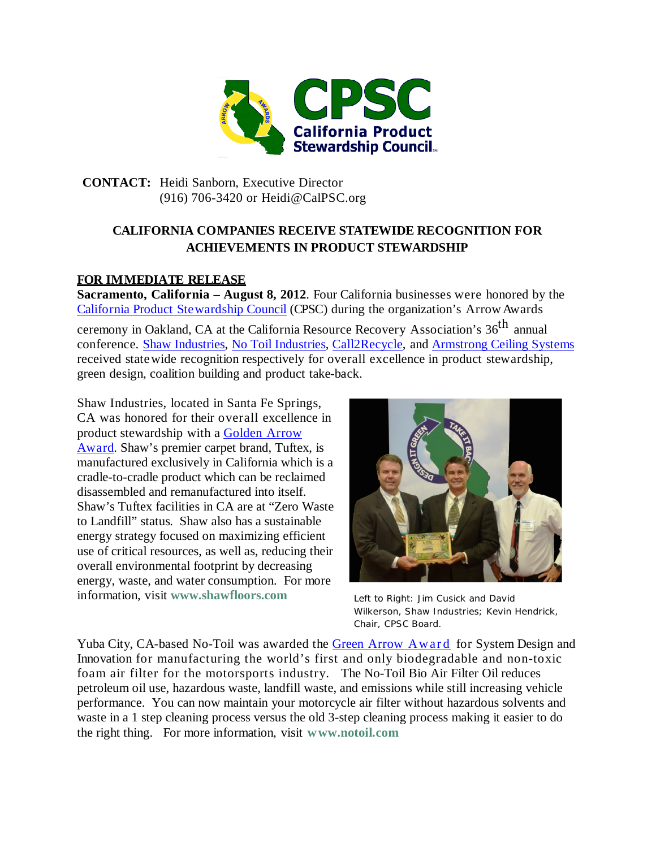

## **CONTACT:** Heidi Sanborn, Executive Director (916) 706-3420 or [Heidi@CalPSC.org](mailto:Heidi@CalPSC.org)

## **CALIFORNIA COMPANIES RECEIVE STATEWIDE RECOGNITION FOR ACHIEVEMENTS IN PRODUCT STEWARDSHIP**

## **FOR IMMEDIATE RELEASE**

**Sacramento, California – August 8, 2012**. Four California businesses were honored by the California Product [Stewardship](http://www.calpsc.org/index.html) Council (CPSC) during the organization's ArrowAwards

ceremony in Oakland, CA at the California Resource Recovery Association's 36<sup>th</sup> annual conference. [Shaw Industries,](http://www.shawfloors.com/) No Toil [Industries,](http://www.notoil.com/) [Call2Recycle,](http://www.call2recycle.com/) and [Armstrong Ceiling Systems](http://www.armstrong.com/) received statewide recognition respectively for overall excellence in product stewardship, green design, coalition building and product take-back.

Shaw Industries, located in Santa Fe Springs, CA was honored for their overall excellence in product stewardship with a [Golden](http://www.calpsc.org/awards/arrow-categories.html%23GOLDEN) Arrow [Award.](http://www.calpsc.org/awards/arrow-categories.html%23GOLDEN) Shaw's premier carpet brand, Tuftex, is manufactured exclusively in California which is a cradle-to-cradle product which can be reclaimed disassembled and remanufactured into itself. Shaw's Tuftex facilities in CA are at "Zero Waste to Landfill" status. Shaw also has a sustainable energy strategy focused on maximizing efficient use of critical resources, as well as, reducing their overall environmental footprint by decreasing energy, waste, and water consumption. For more information, visit **www.shawfloors.com**



Left to Right: Jim Cusick and David Wilkerson, Shaw Industries; Kevin Hendrick, Chair, CPSC Board.

Yuba City, CA-based No-Toil was awarded the Green Arrow [Award](http://www.calpsc.org/awards/arrow-categories.html%23GREEN) for System Design and Innovation for manufacturing the world's first and only biodegradable and non-toxic foam air filter for the motorsports industry. The No-Toil Bio Air Filter Oil reduces petroleum oil use, hazardous waste, landfill waste, and emissions while still increasing vehicle performance. You can now maintain your motorcycle air filter without hazardous solvents and waste in a 1 step cleaning process versus the old 3-step cleaning process making it easier to do the right thing. For more information, visit **www.notoil.com**